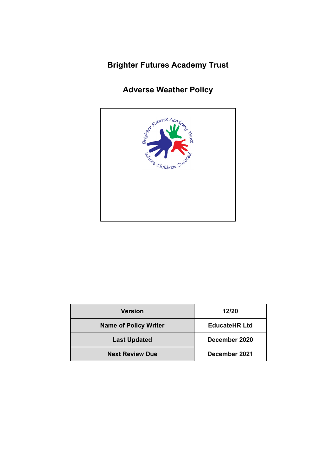## **Brighter Futures Academy Trust**

# **Adverse Weather Policy**



| <b>Version</b>               | 12/20                |
|------------------------------|----------------------|
| <b>Name of Policy Writer</b> | <b>EducateHR Ltd</b> |
| <b>Last Updated</b>          | December 2020        |
| <b>Next Review Due</b>       | December 2021        |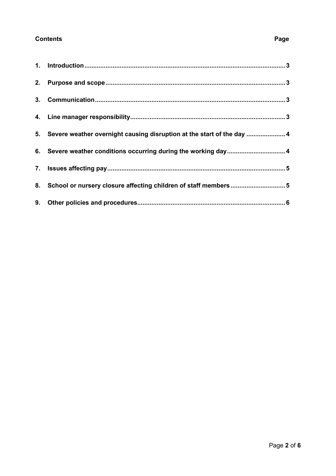### **Contents Page**

| 5. Severe weather overnight causing disruption at the start of the day  4 |
|---------------------------------------------------------------------------|
| 6. Severe weather conditions occurring during the working day 4           |
|                                                                           |
| 8. School or nursery closure affecting children of staff members5         |
|                                                                           |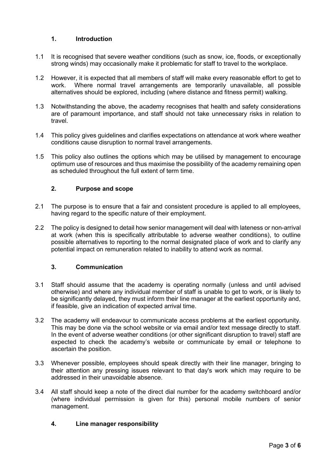#### <span id="page-2-0"></span>**1. Introduction**

- 1.1 It is recognised that severe weather conditions (such as snow, ice, floods, or exceptionally strong winds) may occasionally make it problematic for staff to travel to the workplace.
- 1.2 However, it is expected that all members of staff will make every reasonable effort to get to work. Where normal travel arrangements are temporarily unavailable, all possible alternatives should be explored, including (where distance and fitness permit) walking.
- 1.3 Notwithstanding the above, the academy recognises that health and safety considerations are of paramount importance, and staff should not take unnecessary risks in relation to travel.
- 1.4 This policy gives guidelines and clarifies expectations on attendance at work where weather conditions cause disruption to normal travel arrangements.
- 1.5 This policy also outlines the options which may be utilised by management to encourage optimum use of resources and thus maximise the possibility of the academy remaining open as scheduled throughout the full extent of term time.

#### <span id="page-2-1"></span>**2. Purpose and scope**

- 2.1 The purpose is to ensure that a fair and consistent procedure is applied to all employees, having regard to the specific nature of their employment.
- 2.2 The policy is designed to detail how senior management will deal with lateness or non-arrival at work (when this is specifically attributable to adverse weather conditions), to outline possible alternatives to reporting to the normal designated place of work and to clarify any potential impact on remuneration related to inability to attend work as normal.

#### <span id="page-2-2"></span>**3. Communication**

- 3.1 Staff should assume that the academy is operating normally (unless and until advised otherwise) and where any individual member of staff is unable to get to work, or is likely to be significantly delayed, they must inform their line manager at the earliest opportunity and, if feasible, give an indication of expected arrival time.
- 3.2 The academy will endeavour to communicate access problems at the earliest opportunity. This may be done via the school website or via email and/or text message directly to staff. In the event of adverse weather conditions (or other significant disruption to travel) staff are expected to check the academy's website or communicate by email or telephone to ascertain the position.
- 3.3 Whenever possible, employees should speak directly with their line manager, bringing to their attention any pressing issues relevant to that day's work which may require to be addressed in their unavoidable absence.
- 3.4 All staff should keep a note of the direct dial number for the academy switchboard and/or (where individual permission is given for this) personal mobile numbers of senior management.

#### <span id="page-2-3"></span>**4. Line manager responsibility**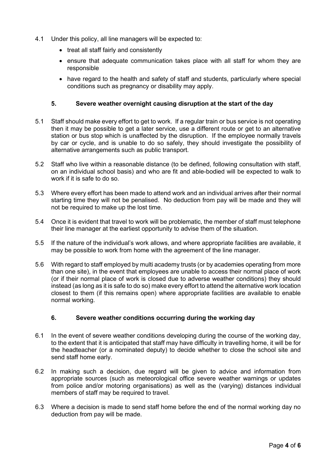- 4.1 Under this policy, all line managers will be expected to:
	- treat all staff fairly and consistently
	- ensure that adequate communication takes place with all staff for whom they are responsible
	- have regard to the health and safety of staff and students, particularly where special conditions such as pregnancy or disability may apply.

#### <span id="page-3-0"></span>**5. Severe weather overnight causing disruption at the start of the day**

- 5.1 Staff should make every effort to get to work. If a regular train or bus service is not operating then it may be possible to get a later service, use a different route or get to an alternative station or bus stop which is unaffected by the disruption. If the employee normally travels by car or cycle, and is unable to do so safely, they should investigate the possibility of alternative arrangements such as public transport.
- 5.2 Staff who live within a reasonable distance (to be defined, following consultation with staff, on an individual school basis) and who are fit and able-bodied will be expected to walk to work if it is safe to do so.
- 5.3 Where every effort has been made to attend work and an individual arrives after their normal starting time they will not be penalised. No deduction from pay will be made and they will not be required to make up the lost time.
- 5.4 Once it is evident that travel to work will be problematic, the member of staff must telephone their line manager at the earliest opportunity to advise them of the situation.
- 5.5 If the nature of the individual's work allows, and where appropriate facilities are available, it may be possible to work from home with the agreement of the line manager.
- 5.6 With regard to staff employed by multi academy trusts (or by academies operating from more than one site), in the event that employees are unable to access their normal place of work (or if their normal place of work is closed due to adverse weather conditions) they should instead (as long as it is safe to do so) make every effort to attend the alternative work location closest to them (if this remains open) where appropriate facilities are available to enable normal working.

#### <span id="page-3-1"></span>**6. Severe weather conditions occurring during the working day**

- 6.1 In the event of severe weather conditions developing during the course of the working day, to the extent that it is anticipated that staff may have difficulty in travelling home, it will be for the headteacher (or a nominated deputy) to decide whether to close the school site and send staff home early.
- 6.2 In making such a decision, due regard will be given to advice and information from appropriate sources (such as meteorological office severe weather warnings or updates from police and/or motoring organisations) as well as the (varying) distances individual members of staff may be required to travel.
- 6.3 Where a decision is made to send staff home before the end of the normal working day no deduction from pay will be made.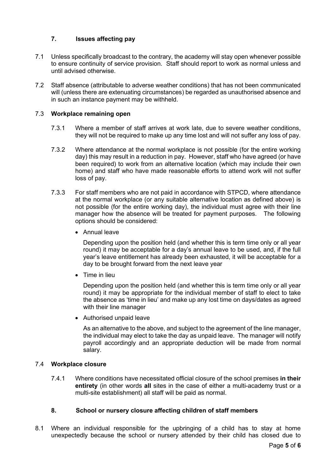#### <span id="page-4-0"></span>**7. Issues affecting pay**

- 7.1 Unless specifically broadcast to the contrary, the academy will stay open whenever possible to ensure continuity of service provision. Staff should report to work as normal unless and until advised otherwise.
- 7.2 Staff absence (attributable to adverse weather conditions) that has not been communicated will (unless there are extenuating circumstances) be regarded as unauthorised absence and in such an instance payment may be withheld.

#### <span id="page-4-1"></span>7.3 **Workplace remaining open**

- 7.3.1 Where a member of staff arrives at work late, due to severe weather conditions, they will not be required to make up any time lost and will not suffer any loss of pay.
- 7.3.2 Where attendance at the normal workplace is not possible (for the entire working day) this may result in a reduction in pay. However, staff who have agreed (or have been required) to work from an alternative location (which may include their own home) and staff who have made reasonable efforts to attend work will not suffer loss of pay.
- 7.3.3 For staff members who are not paid in accordance with STPCD, where attendance at the normal workplace (or any suitable alternative location as defined above) is not possible (for the entire working day), the individual must agree with their line manager how the absence will be treated for payment purposes. The following options should be considered:
	- Annual leave

Depending upon the position held (and whether this is term time only or all year round) it may be acceptable for a day's annual leave to be used, and, if the full year's leave entitlement has already been exhausted, it will be acceptable for a day to be brought forward from the next leave year

• Time in lieu

Depending upon the position held (and whether this is term time only or all year round) it may be appropriate for the individual member of staff to elect to take the absence as 'time in lieu' and make up any lost time on days/dates as agreed with their line manager

• Authorised unpaid leave

As an alternative to the above, and subject to the agreement of the line manager, the individual may elect to take the day as unpaid leave. The manager will notify payroll accordingly and an appropriate deduction will be made from normal salary.

#### 7.4 **Workplace closure**

7.4.1 Where conditions have necessitated official closure of the school premises **in their entirety** (in other words **all** sites in the case of either a multi-academy trust or a multi-site establishment) all staff will be paid as normal.

#### **8. School or nursery closure affecting children of staff members**

8.1 Where an individual responsible for the upbringing of a child has to stay at home unexpectedly because the school or nursery attended by their child has closed due to